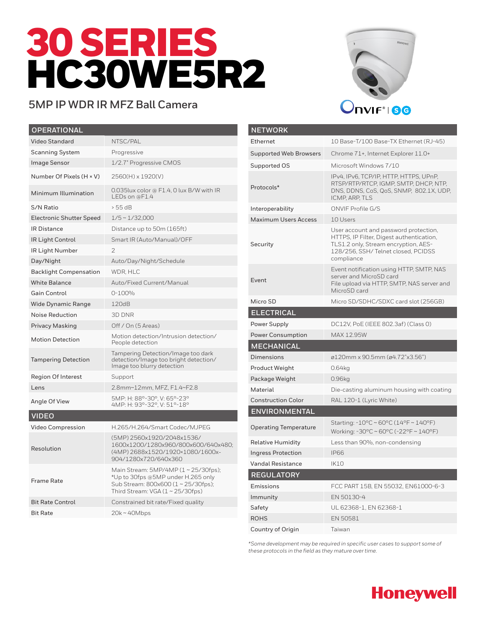# 30 SERIES HC30WE5R2

## **5MP IP WDR IR MFZ Ball Camera**



| <b>OPERATIONAL</b>              |                                                                                                                                                         |
|---------------------------------|---------------------------------------------------------------------------------------------------------------------------------------------------------|
| Video Standard                  | NTSC/PAL                                                                                                                                                |
| <b>Scanning System</b>          | Progressive                                                                                                                                             |
| <b>Image Sensor</b>             | 1/2.7" Progressive CMOS                                                                                                                                 |
| Number Of Pixels (H × V)        | 2560(H) x 1920(V)                                                                                                                                       |
| Minimum Illumination            | 0.035lux color @ F1.4, 0 lux B/W with IR<br>$LEDs$ on @F1.4                                                                                             |
| S/N Ratio                       | > 55 dB                                                                                                                                                 |
| <b>Electronic Shutter Speed</b> | $1/5 \sim 1/32,000$                                                                                                                                     |
| <b>IR Distance</b>              | Distance up to 50m (165ft)                                                                                                                              |
| <b>IR Light Control</b>         | Smart IR (Auto/Manual)/OFF                                                                                                                              |
| IR Light Number                 | $\overline{2}$                                                                                                                                          |
| Day/Night                       | Auto/Day/Night/Schedule                                                                                                                                 |
| <b>Backlight Compensation</b>   | WDR, HLC                                                                                                                                                |
| <b>White Balance</b>            | Auto/Fixed Current/Manual                                                                                                                               |
| <b>Gain Control</b>             | $0 - 100%$                                                                                                                                              |
| <b>Wide Dynamic Range</b>       | 120dB                                                                                                                                                   |
| Noise Reduction                 | 3D DNR                                                                                                                                                  |
| <b>Privacy Masking</b>          | Off / On (5 Areas)                                                                                                                                      |
| <b>Motion Detection</b>         | Motion detection/Intrusion detection/<br>People detection                                                                                               |
| <b>Tampering Detection</b>      | Tampering Detection/Image too dark<br>detection/Image too bright detection/<br>Image too blurry detection                                               |
| <b>Region Of Interest</b>       | Support                                                                                                                                                 |
| Lens                            | 2.8mm~12mm, MFZ, F1.4~F2.8                                                                                                                              |
| Angle Of View                   | 5MP: H: 88°-30°, V: 65°-23°<br>4MP: H: 93°-32°, V: 51°-18°                                                                                              |
| <b>VIDEO</b>                    |                                                                                                                                                         |
| Video Compression               | H.265/H.264/Smart Codec/MJPEG                                                                                                                           |
| Resolution                      | (5MP) 2560x1920/2048x1536/<br>1600x1200/1280x960/800x600/640x480;<br>(4MP) 2688x1520/1920×1080/1600x-<br>904/1280x720/640x360                           |
| <b>Frame Rate</b>               | Main Stream: 5MP/4MP (1~25/30fps);<br>*Up to 30fps @5MP under H.265 only<br>Sub Stream: 800x600 (1~25/30fps);<br>Third Stream: $VGA (1 \sim 25/30$ fps) |
| <b>Bit Rate Control</b>         | Constrained bit rate/Fixed quality                                                                                                                      |
| <b>Bit Rate</b>                 | 20k~40Mbps                                                                                                                                              |

| <b>NETWORK</b>                |                                                                                                                                                                               |
|-------------------------------|-------------------------------------------------------------------------------------------------------------------------------------------------------------------------------|
| Ethernet                      | 10 Base-T/100 Base-TX Ethernet (RJ-45)                                                                                                                                        |
| <b>Supported Web Browsers</b> | Chrome 71+, Internet Explorer 11.0+                                                                                                                                           |
| Supported OS                  | Microsoft Windows 7/10                                                                                                                                                        |
| Protocols*                    | IPv4, IPv6, TCP/IP, HTTP, HTTPS, UPnP,<br>RTSP/RTP/RTCP, IGMP, SMTP, DHCP, NTP,<br>DNS, DDNS, CoS, QoS, SNMP, 802.1X, UDP,<br>ICMP, ARP, TLS                                  |
| Interoperability              | ONVIF Profile G/S                                                                                                                                                             |
| <b>Maximum Users Access</b>   | 10 Users                                                                                                                                                                      |
| Security                      | User account and password protection,<br>HTTPS, IP Filter, Digest authentication,<br>TLS1.2 only, Stream encryption, AES-<br>128/256, SSH/Telnet closed, PCIDSS<br>compliance |
| Event                         | Event notification using HTTP, SMTP, NAS<br>server and MicroSD card<br>File upload via HTTP, SMTP, NAS server and<br>MicroSD card                                             |
| Micro SD                      | Micro SD/SDHC/SDXC card slot (256GB)                                                                                                                                          |
| <b>ELECTRICAL</b>             |                                                                                                                                                                               |
| Power Supply                  | DC12V, PoE (IEEE 802.3af) (Class 0)                                                                                                                                           |
| <b>Power Consumption</b>      | MAX 12.95W                                                                                                                                                                    |
| <b>MECHANICAL</b>             |                                                                                                                                                                               |
| <b>Dimensions</b>             | ø120mm x 90.5mm (ø4.72"x3.56")                                                                                                                                                |
| Product Weight                | 0.64kg                                                                                                                                                                        |
| Package Weight                | 0.96kg                                                                                                                                                                        |
| Material                      | Die-casting aluminum housing with coating                                                                                                                                     |
| <b>Construction Color</b>     | RAL 120-1 (Lyric White)                                                                                                                                                       |
| <b>ENVIRONMENTAL</b>          |                                                                                                                                                                               |
| <b>Operating Temperature</b>  | Starting: -10°C ~ 60°C (14°F ~ 140°F)<br>Working: -30°C ~ 60°C (-22°F ~ 140°F)                                                                                                |
| <b>Relative Humidity</b>      | Less than 90%, non-condensing                                                                                                                                                 |
| <b>Ingress Protection</b>     | <b>IP66</b>                                                                                                                                                                   |
| <b>Vandal Resistance</b>      | <b>IK10</b>                                                                                                                                                                   |
| <b>REGULATORY</b>             |                                                                                                                                                                               |
| Emissions                     | FCC PART 15B, EN 55032, EN61000-6-3                                                                                                                                           |
| Immunity                      | EN 50130-4                                                                                                                                                                    |
| Safety                        | UL 62368-1, EN 62368-1                                                                                                                                                        |
|                               |                                                                                                                                                                               |
| <b>ROHS</b>                   | EN 50581                                                                                                                                                                      |

*\*Some development may be required in specific user cases to support some of these protocols in the field as they mature over time.*